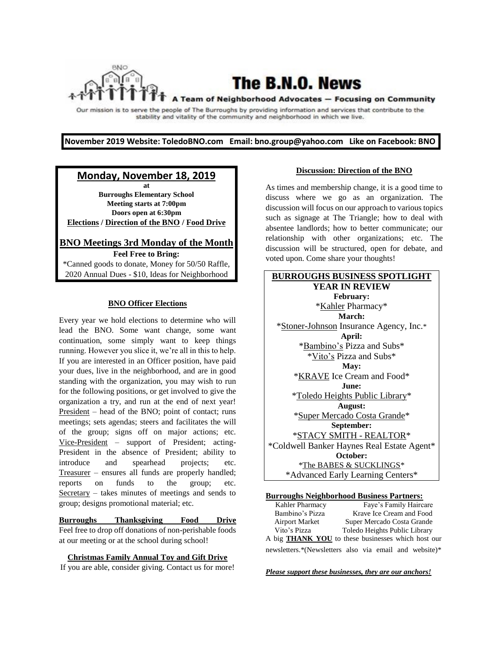The B.N.O. News

A Team of Neighborhood Advocates - Focusing on Community

Our mission is to serve the people of The Burroughs by providing information and services that contribute to the stability and vitality of the community and neighborhood in which we live.

**November 2019 Website: ToledoBNO.com Email: bno.group@yahoo.com Like on Facebook: BNO** 

## **Monday, November 18, 2019**

**at Burroughs Elementary School Meeting starts at 7:00pm Doors open at 6:30pm Elections / Direction of the BNO / Food Drive**

**BNO Meetings 3rd Monday of the Month Feel Free to Bring:**  \*Canned goods to donate, Money for 50/50 Raffle, 2020 Annual Dues - \$10, Ideas for Neighborhood

#### **BNO Officer Elections**

Every year we hold elections to determine who will lead the BNO. Some want change, some want continuation, some simply want to keep things running. However you slice it, we're all in this to help. If you are interested in an Officer position, have paid your dues, live in the neighborhood, and are in good standing with the organization, you may wish to run for the following positions, or get involved to give the organization a try, and run at the end of next year! President – head of the BNO; point of contact; runs meetings; sets agendas; steers and facilitates the will of the group; signs off on major actions; etc. Vice-President – support of President; acting-President in the absence of President; ability to introduce and spearhead projects; etc. Treasurer – ensures all funds are properly handled; reports on funds to the group; etc. Secretary – takes minutes of meetings and sends to group; designs promotional material; etc.

**Burroughs Thanksgiving Food Drive** Feel free to drop off donations of non-perishable foods at our meeting or at the school during school!

#### **Christmas Family Annual Toy and Gift Drive**

If you are able, consider giving. Contact us for more!

#### **Discussion: Direction of the BNO**

As times and membership change, it is a good time to discuss where we go as an organization. The discussion will focus on our approach to various topics such as signage at The Triangle; how to deal with absentee landlords; how to better communicate; our relationship with other organizations; etc. The discussion will be structured, open for debate, and voted upon. Come share your thoughts!



### **Burroughs Neighborhood Business Partners:**

| Kahler Pharmacy       | Faye's Family Haircare                                    |
|-----------------------|-----------------------------------------------------------|
| Bambino's Pizza       | Krave Ice Cream and Food                                  |
| <b>Airport Market</b> | Super Mercado Costa Grande                                |
| Vito's Pizza          | Toledo Heights Public Library                             |
|                       | A big <b>THANK YOU</b> to these businesses which host our |
|                       | newsletters.*(Newsletters also via email and website)*    |

*Please support these businesses, they are our anchors!*